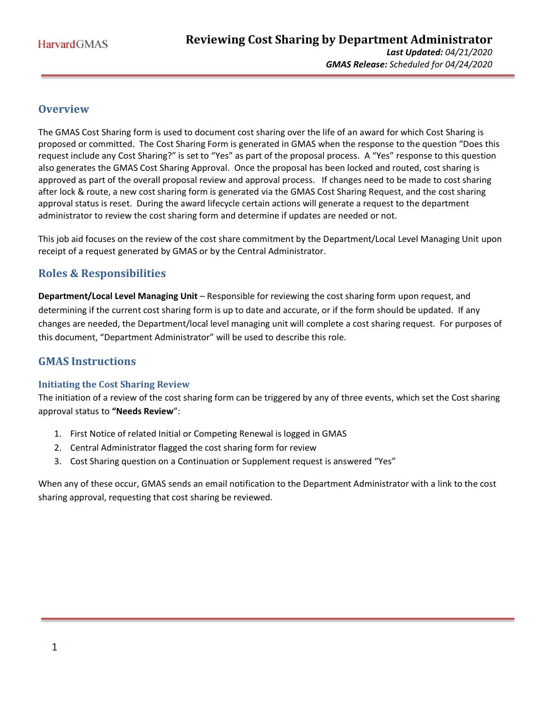# **Overview**

The GMAS Cost Sharing form is used to document cost sharing over the life of an award for which Cost Sharing is proposed or committed. The Cost Sharing Form is generated in GMAS when the response to the question "Does this request include any Cost Sharing?" is set to "Yes" as part of the proposal process. A "Yes" response to this question also generates the GMAS Cost Sharing Approval. Once the proposal has been locked and routed, cost sharing is approved as part of the overall proposal review and approval process. If changes need to be made to cost sharing after lock & route, a new cost sharing form is generated via the GMAS Cost Sharing Request, and the cost sharing approval status is reset. During the award lifecycle certain actions will generate a request to the department administrator to review the cost sharing form and determine if updates are needed or not.

This job aid focuses on the review of the cost share commitment by the Department/Local Level Managing Unit upon receipt of a request generated by GMAS or by the Central Administrator.

# **Roles & Responsibilities**

**Department/Local Level Managing Unit** – Responsible for reviewing the cost sharing form upon request, and determining if the current cost sharing form is up to date and accurate, or if the form should be updated. If any changes are needed, the Department/local level managing unit will complete a cost sharing request. For purposes of this document, "Department Administrator" will be used to describe this role.

# **GMAS Instructions**

# **Initiating the Cost Sharing Review**

The initiation of a review of the cost sharing form can be triggered by any of three events, which set the Cost sharing approval status to **"Needs Review**":

- 1. First Notice of related Initial or Competing Renewal is logged in GMAS
- 2. Central Administrator flagged the cost sharing form for review
- 3. Cost Sharing question on a Continuation or Supplement request is answered "Yes"

When any of these occur, GMAS sends an email notification to the Department Administrator with a link to the cost sharing approval, requesting that cost sharing be reviewed.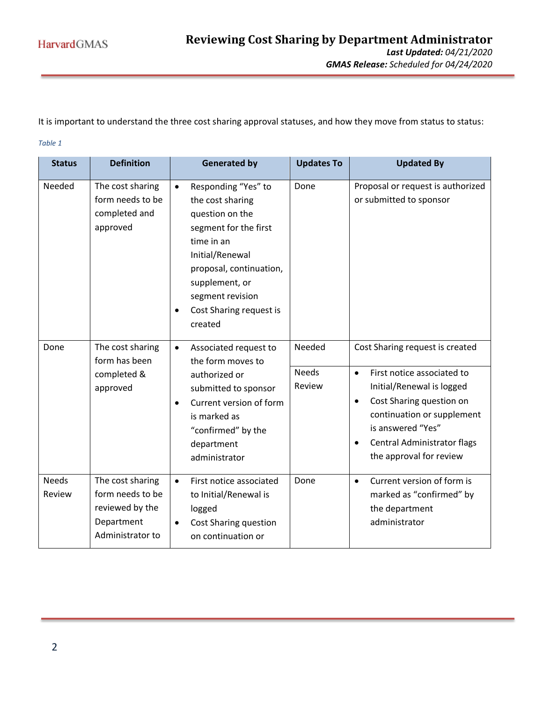It is important to understand the three cost sharing approval statuses, and how they move from status to status:

#### *Table 1*

| <b>Status</b>          | <b>Definition</b>                                                                         | <b>Generated by</b>                                                                                                                                                                                                                                   | <b>Updates To</b>                | <b>Updated By</b>                                                                                                                                                                                                                                                          |
|------------------------|-------------------------------------------------------------------------------------------|-------------------------------------------------------------------------------------------------------------------------------------------------------------------------------------------------------------------------------------------------------|----------------------------------|----------------------------------------------------------------------------------------------------------------------------------------------------------------------------------------------------------------------------------------------------------------------------|
| Needed                 | The cost sharing<br>form needs to be<br>completed and<br>approved                         | Responding "Yes" to<br>$\bullet$<br>the cost sharing<br>question on the<br>segment for the first<br>time in an<br>Initial/Renewal<br>proposal, continuation,<br>supplement, or<br>segment revision<br>Cost Sharing request is<br>$\bullet$<br>created | Done                             | Proposal or request is authorized<br>or submitted to sponsor                                                                                                                                                                                                               |
| Done                   | The cost sharing<br>form has been<br>completed &<br>approved                              | Associated request to<br>$\bullet$<br>the form moves to<br>authorized or<br>submitted to sponsor<br>Current version of form<br>$\bullet$<br>is marked as<br>"confirmed" by the<br>department<br>administrator                                         | Needed<br><b>Needs</b><br>Review | Cost Sharing request is created<br>First notice associated to<br>$\bullet$<br>Initial/Renewal is logged<br>Cost Sharing question on<br>$\bullet$<br>continuation or supplement<br>is answered "Yes"<br>Central Administrator flags<br>$\bullet$<br>the approval for review |
| <b>Needs</b><br>Review | The cost sharing<br>form needs to be<br>reviewed by the<br>Department<br>Administrator to | First notice associated<br>$\bullet$<br>to Initial/Renewal is<br>logged<br>Cost Sharing question<br>$\bullet$<br>on continuation or                                                                                                                   | Done                             | Current version of form is<br>$\bullet$<br>marked as "confirmed" by<br>the department<br>administrator                                                                                                                                                                     |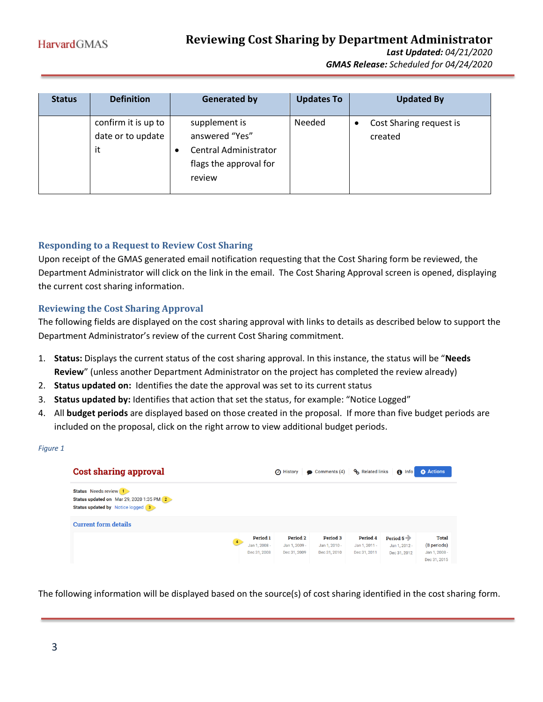**HarvardGMAS** 

*Last Updated: 04/21/2020 GMAS Release: Scheduled for 04/24/2020*

| <b>Status</b> | <b>Definition</b>   | <b>Generated by</b>    | <b>Updates To</b> | <b>Updated By</b>       |
|---------------|---------------------|------------------------|-------------------|-------------------------|
|               | confirm it is up to | supplement is          | Needed            | Cost Sharing request is |
|               | date or to update   | answered "Yes"         |                   | created                 |
|               | it                  | Central Administrator  |                   |                         |
|               |                     | flags the approval for |                   |                         |
|               |                     | review                 |                   |                         |
|               |                     |                        |                   |                         |

# **Responding to a Request to Review Cost Sharing**

Upon receipt of the GMAS generated email notification requesting that the Cost Sharing form be reviewed, the Department Administrator will click on the link in the email. The Cost Sharing Approval screen is opened, displaying the current cost sharing information.

# **Reviewing the Cost Sharing Approval**

The following fields are displayed on the cost sharing approval with links to details as described below to support the Department Administrator's review of the current Cost Sharing commitment.

- 1. **Status:** Displays the current status of the cost sharing approval. In this instance, the status will be "**Needs Review**" (unless another Department Administrator on the project has completed the review already)
- 2. **Status updated on:** Identifies the date the approval was set to its current status
- 3. **Status updated by:** Identifies that action that set the status, for example: "Notice Logged"
- 4. All **budget periods** are displayed based on those created in the proposal. If more than five budget periods are included on the proposal, click on the right arrow to view additional budget periods.

### *Figure 1*

| <b>Cost sharing approval</b>                                                                           |                                                             |                                                  | A History Comments (4) % Related links           |                                           | $\bigoplus$ Info                                        | <b>D</b> Actions                                             |
|--------------------------------------------------------------------------------------------------------|-------------------------------------------------------------|--------------------------------------------------|--------------------------------------------------|-------------------------------------------|---------------------------------------------------------|--------------------------------------------------------------|
| Status Needs review 1<br>Status updated on Mar 29, 2020 1:35 PM 2<br>Status updated by Notice logged 3 |                                                             |                                                  |                                                  |                                           |                                                         |                                                              |
| <b>Current form details</b>                                                                            |                                                             |                                                  |                                                  |                                           |                                                         |                                                              |
|                                                                                                        | Period 1<br>4 <sup>2</sup><br>Jan 1, 2008 -<br>Dec 31, 2008 | <b>Period 2</b><br>Jan 1, 2009 -<br>Dec 31, 2009 | <b>Period 3</b><br>Jan 1, 2010 -<br>Dec 31, 2010 | Period 4<br>Jan 1, 2011 -<br>Dec 31, 2011 | Period $5 \Rightarrow$<br>Jan 1, 2012 -<br>Dec 31, 2012 | <b>Total</b><br>(8 periods)<br>Jan 1, 2008 -<br>Dec 31, 2015 |

The following information will be displayed based on the source(s) of cost sharing identified in the cost sharing form.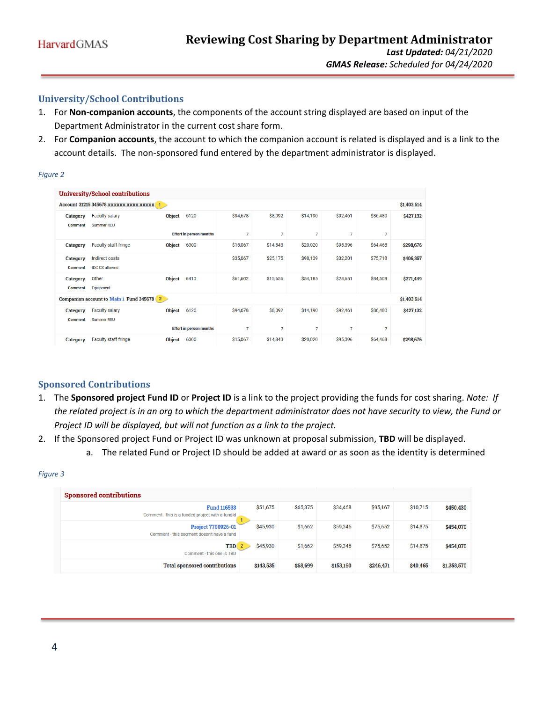## **University/School Contributions**

- 1. For **Non-companion accounts**, the components of the account string displayed are based on input of the Department Administrator in the current cost share form.
- 2. For **Companion accounts**, the account to which the companion account is related is displayed and is a link to the account details. The non-sponsored fund entered by the department administrator is displayed.

|                                   | <b>University/School contributions</b>         |               |                                |          |                |          |          |          |             |
|-----------------------------------|------------------------------------------------|---------------|--------------------------------|----------|----------------|----------|----------|----------|-------------|
|                                   |                                                |               |                                |          |                |          |          |          | \$1,403,614 |
| Category<br><b>Comment</b>        | <b>Faculty salary</b><br>Summer RFU            | <b>Object</b> | 6120                           | \$94,678 | \$8,092        | \$14,190 | \$92,461 | \$86,480 | \$427,132   |
|                                   |                                                |               | <b>Effort in person months</b> | 7        | $\overline{7}$ | 7        | 7        | 7        |             |
| Category                          | <b>Faculty staff fringe</b>                    | Object        | 6300                           | \$15,067 | \$14,843       | \$20,020 | \$95,396 | \$64,468 | \$298,676   |
| <b>Category</b><br><b>Comment</b> | <b>Indirect costs</b><br><b>IDC CS allowed</b> |               |                                | \$35,067 | \$25,175       | \$98,139 | \$32,201 | \$75,718 | \$406,357   |
| Category<br><b>Comment</b>        | Other<br>Equipment                             | <b>Object</b> | 6410                           | \$61,602 | \$15,656       | \$54,185 | \$24,651 | \$84,508 | \$271,449   |
|                                   | Companion account to Main 1 Fund 345678 2      |               |                                |          |                |          |          |          | \$1,403,614 |
| <b>Category</b><br><b>Comment</b> | <b>Faculty salary</b><br><b>Summer RFU</b>     | <b>Object</b> | 6120                           | \$94,678 | \$8,092        | \$14,190 | \$92,461 | \$86,480 | \$427,132   |
|                                   |                                                |               | <b>Effort in person months</b> | 7        | 7              | 7        | 7        | 7        |             |
| <b>Category</b>                   | <b>Faculty staff fringe</b>                    | <b>Object</b> | 6300                           | \$15,067 | \$14,843       | \$20,020 | \$95,396 | \$64,468 | \$298,676   |

#### *Figure 2*

# **Sponsored Contributions**

- 1. The **Sponsored project Fund ID** or **Project ID** is a link to the project providing the funds for cost sharing. *Note: If the related project is in an org to which the department administrator does not have security to view, the Fund or Project ID will be displayed, but will not function as a link to the project.*
- 2. If the Sponsored project Fund or Project ID was unknown at proposal submission, **TBD** will be displayed.
	- a. The related Fund or Project ID should be added at award or as soon as the identity is determined

#### *Figure 3*

| <b>Sponsored contributions</b>                                          |           |          |           |           |          |             |  |  |
|-------------------------------------------------------------------------|-----------|----------|-----------|-----------|----------|-------------|--|--|
| <b>Fund 116533</b><br>Comment - this is a funded project with a fundld  | \$51,675  | \$65,375 | \$34,468  | \$95,167  | \$10,715 | \$450,430   |  |  |
| <b>Project 7700926-01</b><br>Comment - this seament doesn't have a fund | \$45,930  | \$1,662  | \$59,346  | \$75,652  | \$14,875 | \$454,070   |  |  |
| <b>TBD</b><br>Comment - this one is TBD                                 | \$45,930  | \$1,662  | \$59,346  | \$75,652  | \$14,875 | \$454,070   |  |  |
| <b>Total sponsored contributions</b>                                    | \$143,535 | \$68,699 | \$153,160 | \$246,471 | \$40,465 | \$1,358,570 |  |  |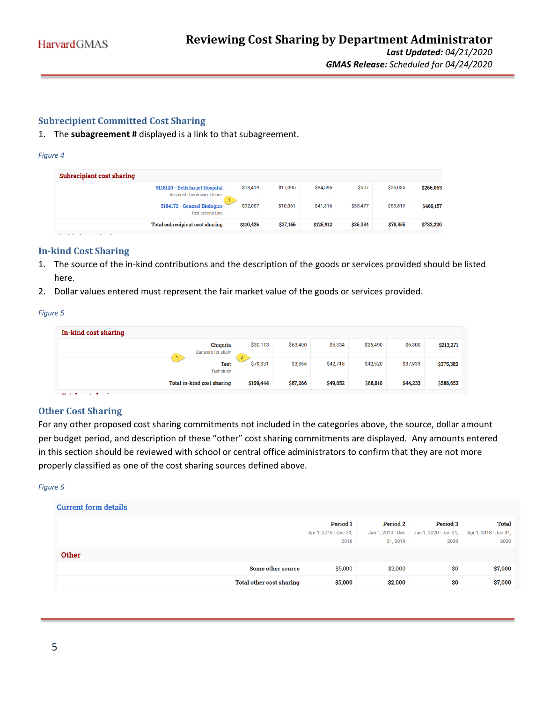## **Subrecipient Committed Cost Sharing**

1. The **subagreement #** displayed is a link to that subagreement.

#### *Figure 4*

| Subrecipient cost sharing                                     |           |          |           |          |          |           |
|---------------------------------------------------------------|-----------|----------|-----------|----------|----------|-----------|
| 5116120 - Beth Israel Hospital<br>Required flow down of terms | \$18,419  | \$17,095 | \$84,596  | \$607    | \$25,036 | \$266,063 |
| 5104172 - General Biologics<br><b>Test second Line</b>        | \$92,007  | \$10,061 | \$41,316  | \$35,477 | \$53,819 | \$466.157 |
| <b>Total subrecipient cost sharing</b>                        | \$110.426 | \$27,156 | \$125,912 | \$36,084 | \$78,855 | \$732,220 |
|                                                               |           |          |           |          |          |           |

### **In-kind Cost Sharing**

- 1. The source of the in-kind contributions and the description of the goods or services provided should be listed here.
- 2. Dollar values entered must represent the fair market value of the goods or services provided.

#### *Figure 5*

| \$30,113<br>Chiquita<br>Banana's for study<br>\$79,331<br>Test<br><b>Test study</b> | \$63,400<br>\$3,866 | \$6,334<br>\$42,718 | \$25,490<br>\$42,520 | \$6,300<br>\$37,933 | \$213,271<br>\$375,382 |  |  |  |  |
|-------------------------------------------------------------------------------------|---------------------|---------------------|----------------------|---------------------|------------------------|--|--|--|--|
|                                                                                     |                     |                     |                      |                     |                        |  |  |  |  |
|                                                                                     |                     |                     |                      |                     |                        |  |  |  |  |
| In-kind cost sharing                                                                |                     |                     |                      |                     |                        |  |  |  |  |

### **Other Cost Sharing**

For any other proposed cost sharing commitments not included in the categories above, the source, dollar amount per budget period, and description of these "other" cost sharing commitments are displayed. Any amounts entered in this section should be reviewed with school or central office administrators to confirm that they are not more properly classified as one of the cost sharing sources defined above.

#### *Figure 6*

| <b>Current form details</b>     |                                                  |                             |                                                                                          |                      |
|---------------------------------|--------------------------------------------------|-----------------------------|------------------------------------------------------------------------------------------|----------------------|
|                                 | <b>Period 1</b><br>Apr 1, 2018 - Dec 31,<br>2018 | <b>Period 2</b><br>31, 2019 | <b>Period 3</b><br>Jan 1, 2019 - Dec Jan 1, 2020 - Jan 31, Apr 1, 2018 - Jan 31,<br>2020 | <b>Total</b><br>2020 |
| Other                           |                                                  |                             |                                                                                          |                      |
| Some other source               | \$5,000                                          | \$2,000                     | \$0                                                                                      | \$7,000              |
| <b>Total other cost sharing</b> | \$5,000                                          | \$2,000                     | \$0                                                                                      | \$7,000              |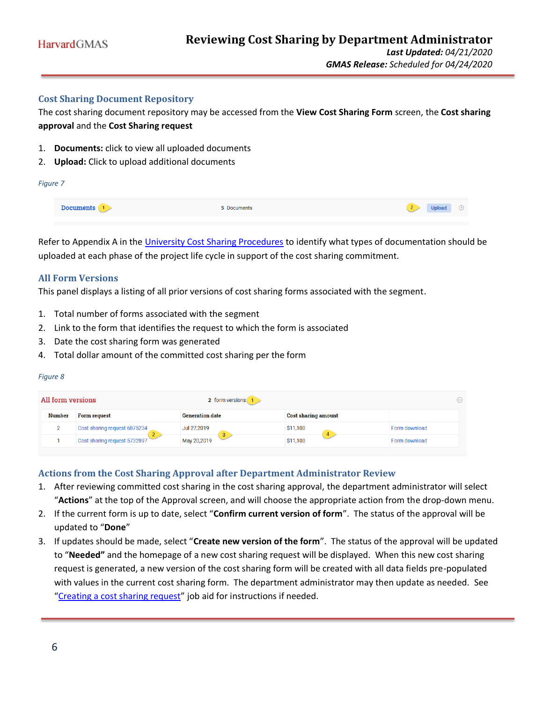

### **Cost Sharing Document Repository**

The cost sharing document repository may be accessed from the **View Cost Sharing Form** screen, the **Cost sharing approval** and the **Cost Sharing request**

- 1. **Documents:** click to view all uploaded documents
- 2. **Upload:** Click to upload additional documents

#### *Figure 7*

| Documents | 5 Documents | $\sim$ | <b>Upload</b> |  |
|-----------|-------------|--------|---------------|--|
|           |             |        |               |  |

Refer to Appendix A in the [University Cost Sharing Procedures](https://osp.finance.harvard.edu/files/osp/files/cost_sharing_procedure_guide_april_2020.pdf) to identify what types of documentation should be uploaded at each phase of the project life cycle in support of the cost sharing commitment.

### **All Form Versions**

This panel displays a listing of all prior versions of cost sharing forms associated with the segment.

- 1. Total number of forms associated with the segment
- 2. Link to the form that identifies the request to which the form is associated
- 3. Date the cost sharing form was generated
- 4. Total dollar amount of the committed cost sharing per the form

### *Figure 8*

| All form versions |                                   | 2 form versions        |                            |               |  |
|-------------------|-----------------------------------|------------------------|----------------------------|---------------|--|
| <b>Number</b>     | <b>Form request</b>               | <b>Generation date</b> | <b>Cost sharing amount</b> |               |  |
|                   | Cost sharing request 6875234      | Jul 27,2019            | \$11,100                   | Form download |  |
|                   | z<br>Cost sharing request 5732897 | 3<br>May 20,2019       | \$11,100                   | Form download |  |

### **Actions from the Cost Sharing Approval after Department Administrator Review**

- 1. After reviewing committed cost sharing in the cost sharing approval, the department administrator will select "**Actions**" at the top of the Approval screen, and will choose the appropriate action from the drop-down menu.
- 2. If the current form is up to date, select "**Confirm current version of form**". The status of the approval will be updated to "**Done**"
- 3. If updates should be made, select "**Create new version of the form**". The status of the approval will be updated to "**Needed"** and the homepage of a new cost sharing request will be displayed. When this new cost sharing request is generated, a new version of the cost sharing form will be created with all data fields pre-populated with values in the current cost sharing form. The department administrator may then update as needed. See "[Creating a cost sharing request](https://gmas.fss.harvard.edu/completing-cost-sharing-request)" job aid for instructions if needed.